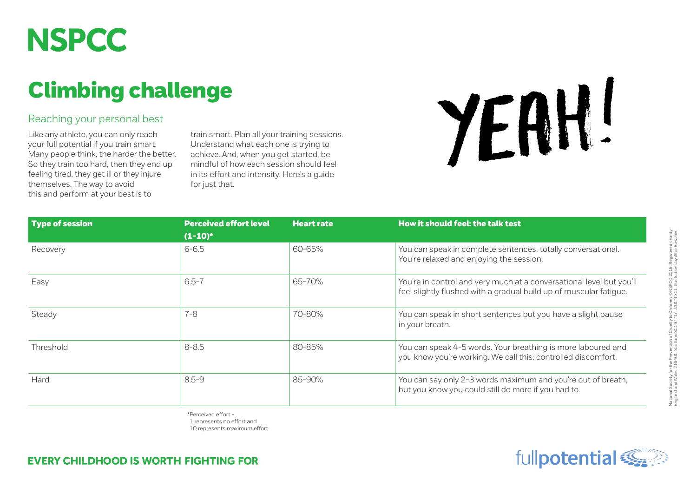

## Climbing challenge

## Reaching your personal best

Like any athlete, you can only reach your full potential if you train smart. Many people think, the harder the better. So they train too hard, then they end up feeling tired, they get ill or they injure themselves. The way to avoid this and perform at your best is to

train smart. Plan all your training sessions. Understand what each one is trying to achieve. And, when you get started, be mindful of how each session should feel in its effort and intensity. Here's a guide for just that.



| <b>Type of session</b> | <b>Perceived effort level</b><br>$(1-10)^*$ | <b>Heart rate</b> | How it should feel: the talk test                                                                                                          |
|------------------------|---------------------------------------------|-------------------|--------------------------------------------------------------------------------------------------------------------------------------------|
| Recovery               | $6 - 6.5$                                   | 60-65%            | You can speak in complete sentences, totally conversational.<br>You're relaxed and enjoying the session.                                   |
| Easy                   | $6.5 - 7$                                   | 65-70%            | You're in control and very much at a conversational level but you'll<br>feel slightly flushed with a gradual build up of muscular fatigue. |
| Steady                 | 7-8                                         | 70-80%            | You can speak in short sentences but you have a slight pause<br>in your breath.                                                            |
| Threshold              | $8 - 8.5$                                   | 80-85%            | You can speak 4-5 words. Your breathing is more laboured and<br>you know you're working. We call this: controlled discomfort.              |
| Hard                   | $8.5 - 9$                                   | 85-90%            | You can say only 2-3 words maximum and you're out of breath,<br>but you know you could still do more if you had to.                        |

\*Perceived effort = 1 represents no effort and

10 represents maximum effort

## **EVERY CHILDHOOD IS WORTH FIGHTING FOR**

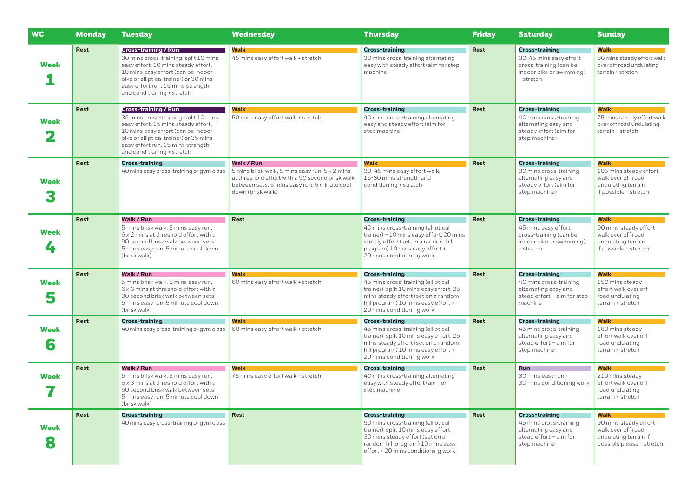| <b>WC</b>        | <b>Monday</b> | <b>Tuesday</b>                                                                                                                                                                                                                                                 | <b>Wednesday</b>                                                                                                                                                                            | <b>Thursday</b>                                                                                                                                                                                                   | <b>Friday</b> | <b>Saturday</b>                                                                                                    | <b>Sunday</b>                                                                                             |
|------------------|---------------|----------------------------------------------------------------------------------------------------------------------------------------------------------------------------------------------------------------------------------------------------------------|---------------------------------------------------------------------------------------------------------------------------------------------------------------------------------------------|-------------------------------------------------------------------------------------------------------------------------------------------------------------------------------------------------------------------|---------------|--------------------------------------------------------------------------------------------------------------------|-----------------------------------------------------------------------------------------------------------|
| <b>Week</b>      | Rest          | <b>Cross-training / Run</b><br>30 mins cross-training: split 10 mins<br>easy effort, 10 mins steady effort,<br>10 mins easy effort (can be indoor<br>bike or elliptical trainer) or 30 mins<br>easy effort run. 15 mins strength<br>and conditioning + stretch | <b>Walk</b><br>45 mins easy effort walk + stretch                                                                                                                                           | <b>Cross-training</b><br>30 mins cross-training alternating<br>easy with steady effort (aim for step<br>machine)                                                                                                  | <b>Rest</b>   | <b>Cross-training</b><br>30-45 mins easy effort<br>cross-training (can be<br>indoor bike or swimming)<br>+ stretch | Walk<br>60 mins steady effort walk<br>over off road undulating<br>terrain + stretch                       |
| Week             | <b>Rest</b>   | <b>Cross-training / Run</b><br>35 mins cross-training: split 10 mins<br>easy effort, 15 mins steady effort,<br>10 mins easy effort (can be indoor<br>bike or elliptical trainer) or 35 mins<br>easy effort run. 15 mins strength<br>and conditioning + stretch | <b>Walk</b><br>50 mins easy effort walk + stretch                                                                                                                                           | <b>Cross-training</b><br>40 mins cross-training alternating<br>easy and steady effort (aim for<br>step machine)                                                                                                   | <b>Rest</b>   | <b>Cross-training</b><br>40 mins cross-training<br>alternating easy and<br>steady effort (aim for<br>step machine) | <b>Walk</b><br>75 mins steady effort walk<br>over off road undulating<br>terrain + stretch                |
| Week             | <b>Rest</b>   | <b>Cross-training</b><br>40 mins easy cross-training or gym class                                                                                                                                                                                              | <b>Walk / Run</b><br>5 mins brisk walk, 5 mins easy run, 5 x 2 mins<br>at threshold effort with a 90 second brisk walk<br>between sets, 5 mins easy run, 5 minute cool<br>down (brisk walk) | <b>Walk</b><br>30-45 mins easy effort walk,<br>15-30 mins strength and<br>conditioning + stretch                                                                                                                  | Rest          | <b>Cross-training</b><br>30 mins cross-training<br>alternating easy and<br>steady effort (aim for<br>step machine) | Walk<br>105 mins steady effort<br>walk over off road<br>undulating terrain<br>if possible + stretch       |
| Week<br>4        | Rest          | Walk / Run<br>5 mins brisk walk, 5 mins easy run,<br>6 x 2 mins at threshold effort with a<br>90 second brisk walk between sets,<br>5 mins easy run, 5 minute cool down<br>(brisk walk)                                                                        | <b>Rest</b>                                                                                                                                                                                 | <b>Cross-training</b><br>40 mins cross-training (elliptical<br>trainer) - 10 mins easy effort, 20 mins<br>steady effort (set on a random hill<br>program) 10 mins easy effort +<br>20 mins conditioning work      | Rest          | <b>Cross-training</b><br>45 mins easy effort<br>cross-training (can be<br>indoor bike or swimming)<br>+ stretch    | Walk<br>90 mins steady effort<br>walk over off road<br>undulating terrain<br>if possible + stretch        |
| Week<br>5        | Rest          | Walk / Run<br>5 mins brisk walk, 5 mins easy run,<br>6 x 3 mins at threshold effort with a<br>90 second brisk walk between sets.<br>5 mins easy run, 5 minute cool down<br>(brisk walk)                                                                        | <b>Walk</b><br>60 mins easy effort walk + stretch                                                                                                                                           | <b>Cross-training</b><br>45 mins cross-training (elliptical<br>trainer): split 10 mins easy effort, 25<br>mins steady effort (set on a random<br>hill program) 10 mins easy effort +<br>20 mins conditioning work | Rest          | <b>Cross-training</b><br>40 mins cross-training<br>alternating easy and<br>stead effort - aim for step<br>machine  | <b>Walk</b><br>150 mins steady<br>effort walk over off<br>road undulating<br>terrain + stretch            |
| Week<br>6        | Rest          | <b>Cross-training</b><br>40 mins easy cross-training or gym class                                                                                                                                                                                              | Walk<br>60 mins easy effort walk + stretch                                                                                                                                                  | <b>Cross-training</b><br>45 mins cross-training (elliptical<br>trainer): split 10 mins easy effort, 25<br>mins steady effort (set on a random<br>hill program) 10 mins easy effort +<br>20 mins conditioning work | Rest          | <b>Cross-training</b><br>45 mins cross-training<br>alternating easy and<br>stead effort - aim for<br>step machine  | Walk<br>180 mins steady<br>effort walk over off<br>road undulating<br>terrain + stretch                   |
| Week             | Rest          | Walk / Run<br>5 mins brisk walk, 5 mins easy run,<br>6 x 3 mins at threshold effort with a<br>60 second brisk walk between sets,<br>5 mins easy run, 5 minute cool down<br>(brisk walk)                                                                        | <b>Walk</b><br>75 mins easy effort walk + stretch                                                                                                                                           | <b>Cross-training</b><br>40 mins cross-training alternating<br>easy with steady effort (aim for<br>step machine)                                                                                                  | Rest          | Run<br>30 mins easy run +<br>30 mins conditioning work                                                             | Walk<br>210 mins steady<br>effort walk over off<br>road undulating<br>terrain + stretch                   |
| <b>Week</b><br>8 | Rest          | <b>Cross-training</b><br>40 mins easy cross-training or gym class                                                                                                                                                                                              | Rest                                                                                                                                                                                        | <b>Cross-training</b><br>50 mins cross-training (elliptical<br>trainer): split 10 mins easy effort,<br>30 mins steady effort (set on a<br>random hill program) 10 mins easy<br>effort + 20 mins conditioning work | Rest          | <b>Cross-training</b><br>45 mins cross-training<br>alternating easy and<br>stead effort - aim for<br>step machine  | Walk<br>90 mins steady effort<br>walk over off road<br>undulating terrain if<br>possible please + stretch |